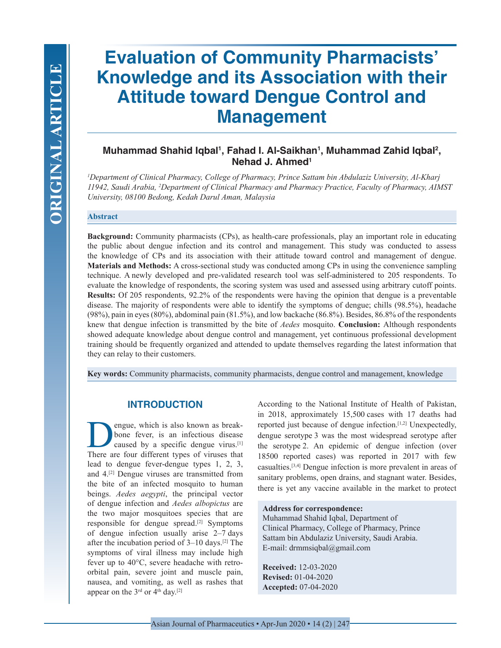# **Evaluation of Community Pharmacists' Knowledge and its Association with their Attitude toward Dengue Control and Management**

## **Muhammad Shahid Iqbal1 , Fahad I. Al-Saikhan1 , Muhammad Zahid Iqbal2 , Nehad J. Ahmed1**

*1 Department of Clinical Pharmacy, College of Pharmacy, Prince Sattam bin Abdulaziz University, Al-Kharj 11942, Saudi Arabia, 2 Department of Clinical Pharmacy and Pharmacy Practice, Faculty of Pharmacy, AIMST University, 08100 Bedong, Kedah Darul Aman, Malaysia*

#### **Abstract**

**Background:** Community pharmacists (CPs), as health-care professionals, play an important role in educating the public about dengue infection and its control and management. This study was conducted to assess the knowledge of CPs and its association with their attitude toward control and management of dengue. **Materials and Methods:** A cross-sectional study was conducted among CPs in using the convenience sampling technique. A newly developed and pre-validated research tool was self-administered to 205 respondents. To evaluate the knowledge of respondents, the scoring system was used and assessed using arbitrary cutoff points. **Results:** Of 205 respondents, 92.2% of the respondents were having the opinion that dengue is a preventable disease. The majority of respondents were able to identify the symptoms of dengue; chills (98.5%), headache (98%), pain in eyes (80%), abdominal pain (81.5%), and low backache (86.8%). Besides, 86.8% of the respondents knew that dengue infection is transmitted by the bite of *Aedes* mosquito. **Conclusion:** Although respondents showed adequate knowledge about dengue control and management, yet continuous professional development training should be frequently organized and attended to update themselves regarding the latest information that they can relay to their customers.

**Key words:** Community pharmacists, community pharmacists, dengue control and management, knowledge

## **INTRODUCTION**

negue, which is also known as break-<br>bone fever, is an infectious disease<br>caused by a specific dengue virus.<sup>[1]</sup><br>There are four different types of viruses that bone fever, is an infectious disease caused by a specific dengue virus.<sup>[1]</sup> There are four different types of viruses that lead to dengue fever-dengue types 1, 2, 3, and 4.[2] Dengue viruses are transmitted from the bite of an infected mosquito to human beings. *Aedes aegypti*, the principal vector of dengue infection and *Aedes albopictus* are the two major mosquitoes species that are responsible for dengue spread.[2] Symptoms of dengue infection usually arise 2–7 days after the incubation period of 3–10 days.[2] The symptoms of viral illness may include high fever up to 40°C, severe headache with retroorbital pain, severe joint and muscle pain, nausea, and vomiting, as well as rashes that appear on the  $3<sup>rd</sup>$  or  $4<sup>th</sup>$  day.<sup>[2]</sup>

According to the National Institute of Health of Pakistan, in 2018, approximately 15,500 cases with 17 deaths had reported just because of dengue infection.[1,2] Unexpectedly, dengue serotype 3 was the most widespread serotype after the serotype 2. An epidemic of dengue infection (over 18500 reported cases) was reported in 2017 with few casualties.[3,4] Dengue infection is more prevalent in areas of sanitary problems, open drains, and stagnant water. Besides, there is yet any vaccine available in the market to protect

#### **Address for correspondence:**

Muhammad Shahid Iqbal, Department of Clinical Pharmacy, College of Pharmacy, Prince Sattam bin Abdulaziz University, Saudi Arabia. E-mail: drmmsiqbal@gmail.com

**Received:** 12-03-2020 **Revised:** 01-04-2020 **Accepted:** 07-04-2020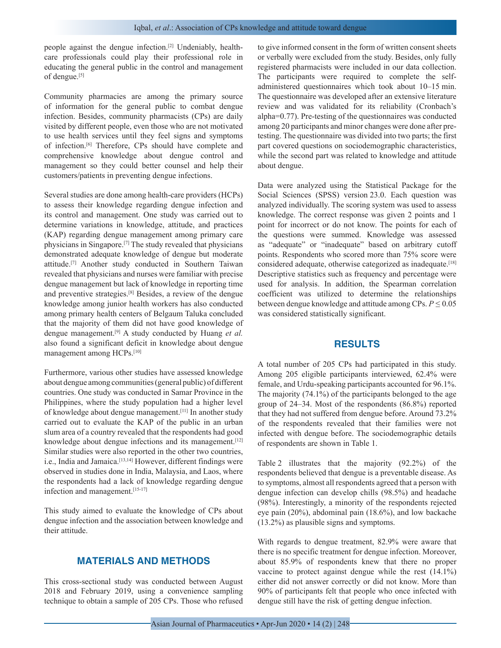people against the dengue infection.[2] Undeniably, healthcare professionals could play their professional role in educating the general public in the control and management of dengue.[5]

Community pharmacies are among the primary source of information for the general public to combat dengue infection. Besides, community pharmacists (CPs) are daily visited by different people, even those who are not motivated to use health services until they feel signs and symptoms of infection.[6] Therefore, CPs should have complete and comprehensive knowledge about dengue control and management so they could better counsel and help their customers/patients in preventing dengue infections.

Several studies are done among health-care providers (HCPs) to assess their knowledge regarding dengue infection and its control and management. One study was carried out to determine variations in knowledge, attitude, and practices (KAP) regarding dengue management among primary care physicians in Singapore.[7] The study revealed that physicians demonstrated adequate knowledge of dengue but moderate attitude.[7] Another study conducted in Southern Taiwan revealed that physicians and nurses were familiar with precise dengue management but lack of knowledge in reporting time and preventive strategies.[8] Besides, a review of the dengue knowledge among junior health workers has also conducted among primary health centers of Belgaum Taluka concluded that the majority of them did not have good knowledge of dengue management.[9] A study conducted by Huang *et al.* also found a significant deficit in knowledge about dengue management among HCPs.[10]

Furthermore, various other studies have assessed knowledge about dengue among communities (general public) of different countries. One study was conducted in Samar Province in the Philippines, where the study population had a higher level of knowledge about dengue management.[11] In another study carried out to evaluate the KAP of the public in an urban slum area of a country revealed that the respondents had good knowledge about dengue infections and its management.<sup>[12]</sup> Similar studies were also reported in the other two countries, i.e., India and Jamaica.[13,14] However, different findings were observed in studies done in India, Malaysia, and Laos, where the respondents had a lack of knowledge regarding dengue infection and management.[15-17]

This study aimed to evaluate the knowledge of CPs about dengue infection and the association between knowledge and their attitude.

## **MATERIALS AND METHODS**

This cross-sectional study was conducted between August 2018 and February 2019, using a convenience sampling technique to obtain a sample of 205 CPs. Those who refused to give informed consent in the form of written consent sheets or verbally were excluded from the study. Besides, only fully registered pharmacists were included in our data collection. The participants were required to complete the selfadministered questionnaires which took about 10–15 min. The questionnaire was developed after an extensive literature review and was validated for its reliability (Cronbach's alpha=0.77). Pre-testing of the questionnaires was conducted among 20 participants and minor changes were done after pretesting. The questionnaire was divided into two parts; the first part covered questions on sociodemographic characteristics, while the second part was related to knowledge and attitude about dengue.

Data were analyzed using the Statistical Package for the Social Sciences (SPSS) version 23.0. Each question was analyzed individually. The scoring system was used to assess knowledge. The correct response was given 2 points and 1 point for incorrect or do not know. The points for each of the questions were summed. Knowledge was assessed as "adequate" or "inadequate" based on arbitrary cutoff points. Respondents who scored more than 75% score were considered adequate, otherwise categorized as inadequate.[18] Descriptive statistics such as frequency and percentage were used for analysis. In addition, the Spearman correlation coefficient was utilized to determine the relationships between dengue knowledge and attitude among CPs. *P* ≤ 0.05 was considered statistically significant.

#### **RESULTS**

A total number of 205 CPs had participated in this study. Among 205 eligible participants interviewed, 62.4% were female, and Urdu-speaking participants accounted for 96.1%. The majority (74.1%) of the participants belonged to the age group of 24–34. Most of the respondents (86.8%) reported that they had not suffered from dengue before. Around 73.2% of the respondents revealed that their families were not infected with dengue before. The sociodemographic details of respondents are shown in Table 1.

Table 2 illustrates that the majority (92.2%) of the respondents believed that dengue is a preventable disease. As to symptoms, almost all respondents agreed that a person with dengue infection can develop chills (98.5%) and headache (98%). Interestingly, a minority of the respondents rejected eye pain (20%), abdominal pain (18.6%), and low backache (13.2%) as plausible signs and symptoms.

With regards to dengue treatment, 82.9% were aware that there is no specific treatment for dengue infection. Moreover, about 85.9% of respondents knew that there no proper vaccine to protect against dengue while the rest (14.1%) either did not answer correctly or did not know. More than 90% of participants felt that people who once infected with dengue still have the risk of getting dengue infection.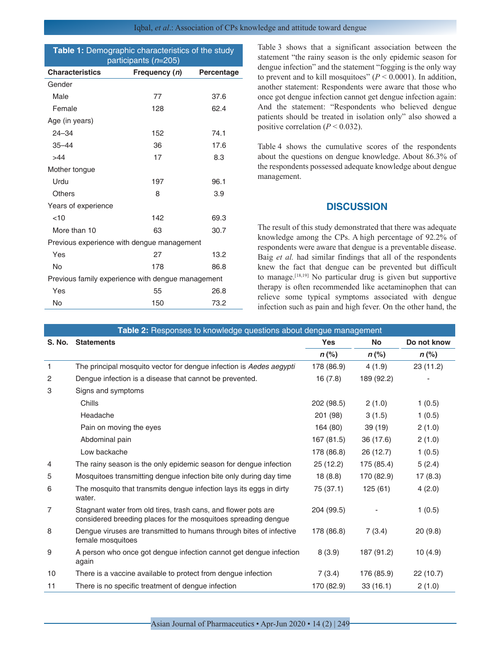| Table 1: Demographic characteristics of the study<br>participants (n=205) |               |            |  |  |
|---------------------------------------------------------------------------|---------------|------------|--|--|
| <b>Characteristics</b>                                                    | Frequency (n) | Percentage |  |  |
| Gender                                                                    |               |            |  |  |
| Male                                                                      | 77            | 37.6       |  |  |
| Female                                                                    | 128           | 62.4       |  |  |
| Age (in years)                                                            |               |            |  |  |
| $24 - 34$                                                                 | 152           | 74.1       |  |  |
| $35 - 44$                                                                 | 36            | 17.6       |  |  |
| >44                                                                       | 17            | 8.3        |  |  |
| Mother tongue                                                             |               |            |  |  |
| Urdu                                                                      | 197           | 96.1       |  |  |
| <b>Others</b>                                                             | 8             | 3.9        |  |  |
| Years of experience                                                       |               |            |  |  |
| < 10                                                                      | 142           | 69.3       |  |  |
| More than 10                                                              | 63            | 30.7       |  |  |
| Previous experience with dengue management                                |               |            |  |  |
| Yes                                                                       | 27            | 13.2       |  |  |
| Nο                                                                        | 178           | 86.8       |  |  |
| Previous family experience with dengue management                         |               |            |  |  |
| Yes                                                                       | 55            | 26.8       |  |  |
| No                                                                        | 150           | 73.2       |  |  |

Table 3 shows that a significant association between the statement "the rainy season is the only epidemic season for dengue infection" and the statement "fogging is the only way to prevent and to kill mosquitoes"  $(P \le 0.0001)$ . In addition, another statement: Respondents were aware that those who once got dengue infection cannot get dengue infection again: And the statement: "Respondents who believed dengue patients should be treated in isolation only" also showed a positive correlation  $(P < 0.032)$ .

Table 4 shows the cumulative scores of the respondents about the questions on dengue knowledge. About 86.3% of the respondents possessed adequate knowledge about dengue management.

## **DISCUSSION**

The result of this study demonstrated that there was adequate knowledge among the CPs. A high percentage of 92.2% of respondents were aware that dengue is a preventable disease. Baig *et al.* had similar findings that all of the respondents knew the fact that dengue can be prevented but difficult to manage.[18,19] No particular drug is given but supportive therapy is often recommended like acetaminophen that can relieve some typical symptoms associated with dengue infection such as pain and high fever. On the other hand, the

| Table 2: Responses to knowledge questions about dengue management |                                                                                                                                  |            |            |             |  |  |
|-------------------------------------------------------------------|----------------------------------------------------------------------------------------------------------------------------------|------------|------------|-------------|--|--|
| S. No.                                                            | <b>Statements</b>                                                                                                                | <b>Yes</b> | <b>No</b>  | Do not know |  |  |
|                                                                   |                                                                                                                                  | $n$ (%)    | $n$ (%)    | $n$ (%)     |  |  |
| 1                                                                 | The principal mosquito vector for dengue infection is Aedes aegypti                                                              | 178 (86.9) | 4(1.9)     | 23 (11.2)   |  |  |
| $\overline{c}$                                                    | Dengue infection is a disease that cannot be prevented.                                                                          | 16(7.8)    | 189 (92.2) |             |  |  |
| 3                                                                 | Signs and symptoms                                                                                                               |            |            |             |  |  |
|                                                                   | Chills                                                                                                                           | 202 (98.5) | 2(1.0)     | 1(0.5)      |  |  |
|                                                                   | Headache                                                                                                                         | 201 (98)   | 3(1.5)     | 1(0.5)      |  |  |
|                                                                   | Pain on moving the eyes                                                                                                          | 164 (80)   | 39 (19)    | 2(1.0)      |  |  |
|                                                                   | Abdominal pain                                                                                                                   | 167 (81.5) | 36 (17.6)  | 2(1.0)      |  |  |
|                                                                   | Low backache                                                                                                                     | 178 (86.8) | 26 (12.7)  | 1(0.5)      |  |  |
| 4                                                                 | The rainy season is the only epidemic season for dengue infection                                                                | 25 (12.2)  | 175 (85.4) | 5(2.4)      |  |  |
| 5                                                                 | Mosquitoes transmitting dengue infection bite only during day time                                                               | 18(8.8)    | 170 (82.9) | 17(8.3)     |  |  |
| 6                                                                 | The mosquito that transmits dengue infection lays its eggs in dirty<br>water.                                                    | 75 (37.1)  | 125(61)    | 4(2.0)      |  |  |
| 7                                                                 | Stagnant water from old tires, trash cans, and flower pots are<br>considered breeding places for the mosquitoes spreading dengue | 204 (99.5) |            | 1(0.5)      |  |  |
| 8                                                                 | Dengue viruses are transmitted to humans through bites of infective<br>female mosquitoes                                         | 178 (86.8) | 7(3.4)     | 20(9.8)     |  |  |
| 9                                                                 | A person who once got dengue infection cannot get dengue infection<br>again                                                      | 8(3.9)     | 187 (91.2) | 10(4.9)     |  |  |
| 10                                                                | There is a vaccine available to protect from dengue infection                                                                    | 7(3.4)     | 176 (85.9) | 22 (10.7)   |  |  |
| 11                                                                | There is no specific treatment of dengue infection                                                                               | 170 (82.9) | 33(16.1)   | 2(1.0)      |  |  |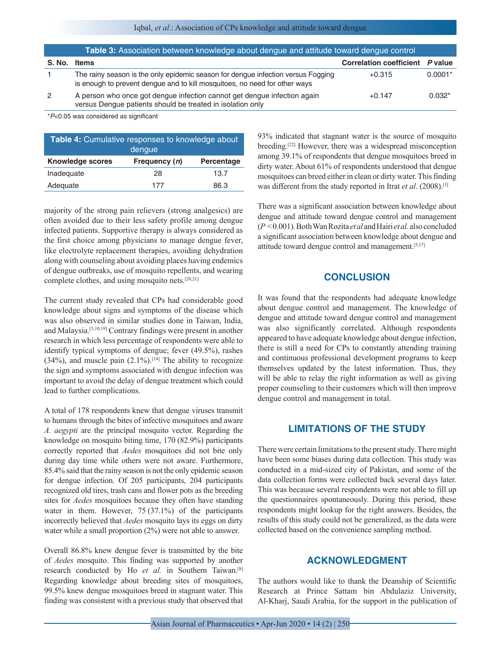| Table 3: Association between knowledge about dengue and attitude toward dengue control |                                                                                                                                                                |                                 |           |  |
|----------------------------------------------------------------------------------------|----------------------------------------------------------------------------------------------------------------------------------------------------------------|---------------------------------|-----------|--|
| <b>S. No.</b>                                                                          | Items                                                                                                                                                          | Correlation coefficient P value |           |  |
|                                                                                        | The rainy season is the only epidemic season for dengue infection versus Fogging<br>is enough to prevent dengue and to kill mosquitoes, no need for other ways | $+0.315$                        | $0.0001*$ |  |
| 2                                                                                      | A person who once got dengue infection cannot get dengue infection again<br>versus Dengue patients should be treated in isolation only                         | $+0.147$                        | $0.032*$  |  |

\**P*<0.05 was considered as significant

| <b>Table 4:</b> Cumulative responses to knowledge about<br>dengue |               |                   |  |  |
|-------------------------------------------------------------------|---------------|-------------------|--|--|
| <b>Knowledge scores</b>                                           | Frequency (n) | <b>Percentage</b> |  |  |
| Inadequate                                                        | 28            | 13.7              |  |  |
| Adequate                                                          | 177           | 86.3              |  |  |

majority of the strong pain relievers (strong analgesics) are often avoided due to their less safety profile among dengue infected patients. Supportive therapy is always considered as the first choice among physicians to manage dengue fever, like electrolyte replacement therapies, avoiding dehydration along with counseling about avoiding places having endemics of dengue outbreaks, use of mosquito repellents, and wearing complete clothes, and using mosquito nets.[20,21]

The current study revealed that CPs had considerable good knowledge about signs and symptoms of the disease which was also observed in similar studies done in Taiwan, India, and Malaysia.[5,10,19] Contrary findings were present in another research in which less percentage of respondents were able to identify typical symptoms of dengue; fever (49.5%), rashes (34%), and muscle pain  $(2.1\%)$ .<sup>[14]</sup> The ability to recognize the sign and symptoms associated with dengue infection was important to avoid the delay of dengue treatment which could lead to further complications.

A total of 178 respondents knew that dengue viruses transmit to humans through the bites of infective mosquitoes and aware *A. aegypti* are the principal mosquito vector. Regarding the knowledge on mosquito biting time, 170 (82.9%) participants correctly reported that *Aedes* mosquitoes did not bite only during day time while others were not aware. Furthermore, 85.4% said that the rainy season is not the only epidemic season for dengue infection. Of 205 participants, 204 participants recognized old tires, trash cans and flower pots as the breeding sites for *Aedes* mosquitoes because they often have standing water in them. However, 75 (37.1%) of the participants incorrectly believed that *Aedes* mosquito lays its eggs on dirty water while a small proportion (2%) were not able to answer.

Overall 86.8% knew dengue fever is transmitted by the bite of *Aedes* mosquito. This finding was supported by another research conducted by Ho *et al.* in Southern Taiwan.[8] Regarding knowledge about breeding sites of mosquitoes, 99.5% knew dengue mosquitoes breed in stagnant water. This finding was consistent with a previous study that observed that 93% indicated that stagnant water is the source of mosquito breeding.[22] However, there was a widespread misconception among 39.1% of respondents that dengue mosquitoes breed in dirty water. About 61% of respondents understood that dengue mosquitoes can breed either in clean or dirty water. This finding was different from the study reported in Itrat *et al*. (2008).[3]

There was a significant association between knowledge about dengue and attitude toward dengue control and management (*P* < 0.001). Both Wan Rozita *et al* and Hairi *et al.* also concluded a significant association between knowledge about dengue and attitude toward dengue control and management.[5,17]

## **CONCLUSION**

It was found that the respondents had adequate knowledge about dengue control and management. The knowledge of dengue and attitude toward dengue control and management was also significantly correlated. Although respondents appeared to have adequate knowledge about dengue infection, there is still a need for CPs to constantly attending training and continuous professional development programs to keep themselves updated by the latest information. Thus, they will be able to relay the right information as well as giving proper counseling to their customers which will then improve dengue control and management in total.

## **LIMITATIONS OF THE STUDY**

There were certain limitations to the present study. There might have been some biases during data collection. This study was conducted in a mid-sized city of Pakistan, and some of the data collection forms were collected back several days later. This was because several respondents were not able to fill up the questionnaires spontaneously. During this period, these respondents might lookup for the right answers. Besides, the results of this study could not be generalized, as the data were collected based on the convenience sampling method.

## **ACKNOWLEDGMENT**

The authors would like to thank the Deanship of Scientific Research at Prince Sattam bin Abdulaziz University, Al-Kharj, Saudi Arabia, for the support in the publication of